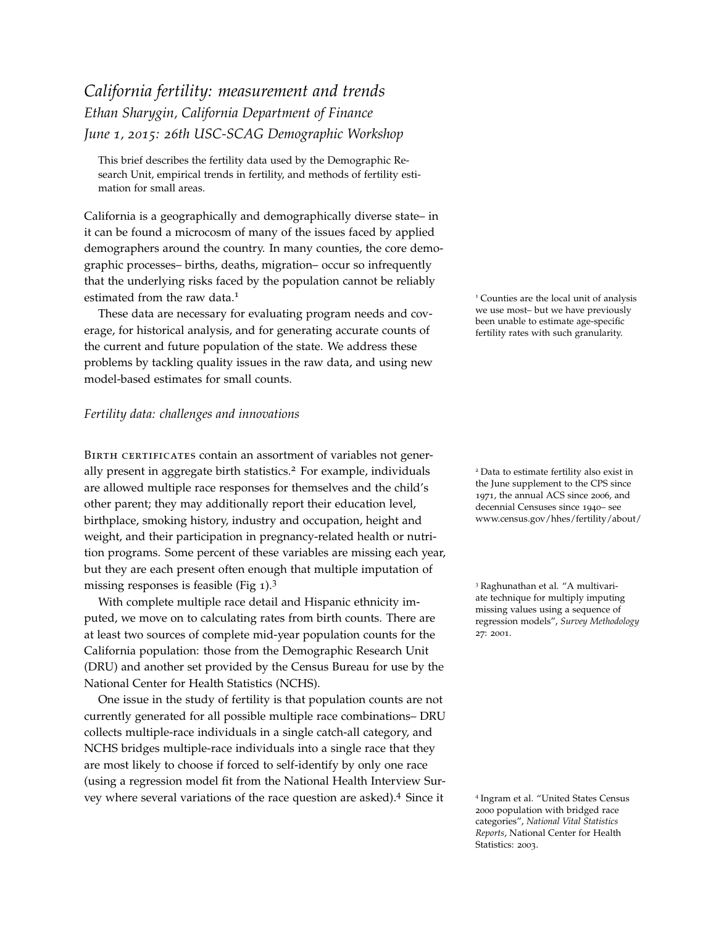## *California fertility: measurement and trends Ethan Sharygin, California Department of Finance June 1, 2015: 26th USC-SCAG Demographic Workshop*

This brief describes the fertility data used by the Demographic Research Unit, empirical trends in fertility, and methods of fertility estimation for small areas.

California is a geographically and demographically diverse state– in it can be found a microcosm of many of the issues faced by applied demographers around the country. In many counties, the core demographic processes– births, deaths, migration– occur so infrequently that the underlying risks faced by the population cannot be reliably estimated from the raw data.<sup>1</sup> 1 Counties are the local unit of analysis

These data are necessary for evaluating program needs and coverage, for historical analysis, and for generating accurate counts of the current and future population of the state. We address these problems by tackling quality issues in the raw data, and using new model-based estimates for small counts.

## <span id="page-0-0"></span>*Fertility data: challenges and innovations*

BIRTH CERTIFICATES contain an assortment of variables not generally present in aggregate birth statistics.<sup>2</sup> For example, individuals  $\frac{2 \text{ Data to estimate fertility also exist in}}{2 \text{ Data to estimate } }$ are allowed multiple race responses for themselves and the child's other parent; they may additionally report their education level, birthplace, smoking history, industry and occupation, height and weight, and their participation in pregnancy-related health or nutrition programs. Some percent of these variables are missing each year, but they are each present often enough that multiple imputation of missing responses is feasible (Fig [1](#page-0-0)).<sup>3</sup> 3 Raghunathan et al. "A multivari-

With complete multiple race detail and Hispanic ethnicity imputed, we move on to calculating rates from birth counts. There are at least two sources of complete mid-year population counts for the California population: those from the Demographic Research Unit (DRU) and another set provided by the Census Bureau for use by the National Center for Health Statistics (NCHS).

One issue in the study of fertility is that population counts are not currently generated for all possible multiple race combinations– DRU collects multiple-race individuals in a single catch-all category, and NCHS bridges multiple-race individuals into a single race that they are most likely to choose if forced to self-identify by only one race (using a regression model fit from the National Health Interview Survey where several variations of the race question are asked).<sup>4</sup> Since it <sup>4</sup>

we use most– but we have previously been unable to estimate age-specific fertility rates with such granularity.

the June supplement to the CPS since 1971, the annual ACS since 2006, and decennial Censuses since 1940– see www.census.gov/hhes/fertility/about/

ate technique for multiply imputing missing values using a sequence of regression models", *Survey Methodology* 27: 2001.

<sup>4</sup> Ingram et al. "United States Census 2000 population with bridged race categories", *National Vital Statistics Reports*, National Center for Health Statistics: 2003.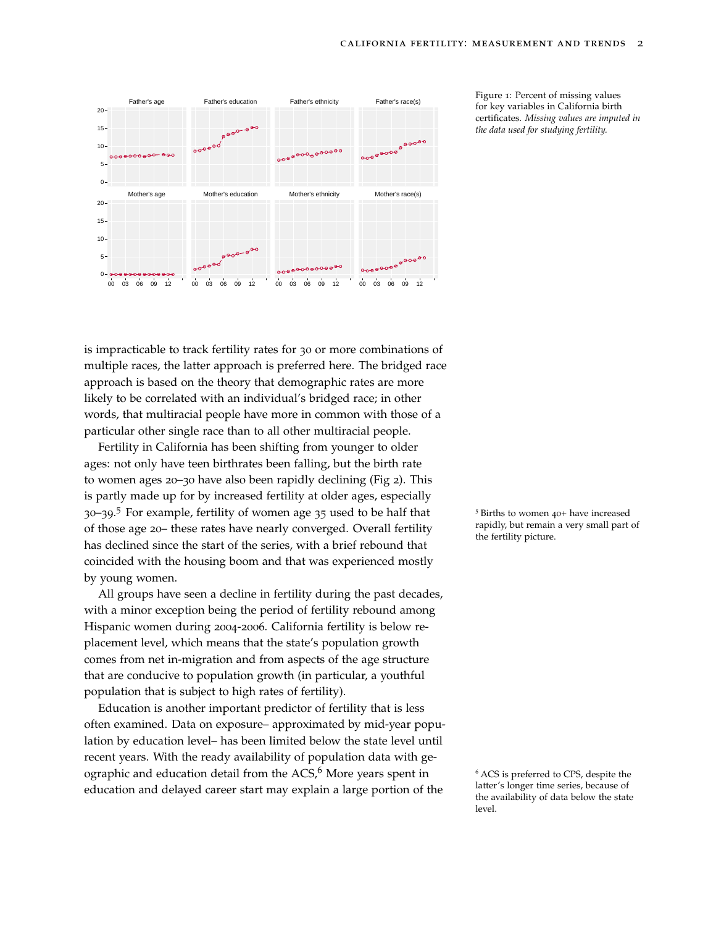

Figure 1: Percent of missing values certificates. *Missing values are imputed in the data used for studying fertility.*

is impracticable to track fertility rates for 30 or more combinations of multiple races, the latter approach is preferred here. The bridged race approach is based on the theory that demographic rates are more likely to be correlated with an individual's bridged race; in other words, that multiracial people have more in common with those of a particular other single race than to all other multiracial people.

Fertility in California has been shifting from younger to older ages: not only have teen birthrates been falling, but the birth rate to women ages 20–30 have also been rapidly declining (Fig [2](#page-0-0)). This is partly made up for by increased fertility at older ages, especially 30–39.<sup>5</sup> For example, fertility of women age 35 used to be half that <sup>5</sup> Births to women 40+ have increased of those age 20– these rates have nearly converged. Overall fertility has declined since the start of the series, with a brief rebound that coincided with the housing boom and that was experienced mostly by young women.

All groups have seen a decline in fertility during the past decades, with a minor exception being the period of fertility rebound among Hispanic women during 2004-2006. California fertility is below replacement level, which means that the state's population growth comes from net in-migration and from aspects of the age structure that are conducive to population growth (in particular, a youthful population that is subject to high rates of fertility).

Education is another important predictor of fertility that is less often examined. Data on exposure– approximated by mid-year population by education level– has been limited below the state level until recent years. With the ready availability of population data with geographic and education detail from the  $ACS<sup>6</sup>$  More years spent in  $6$  ACS is preferred to CPS, despite the education and delayed career start may explain a large portion of the

rapidly, but remain a very small part of the fertility picture.

latter's longer time series, because of the availability of data below the state level.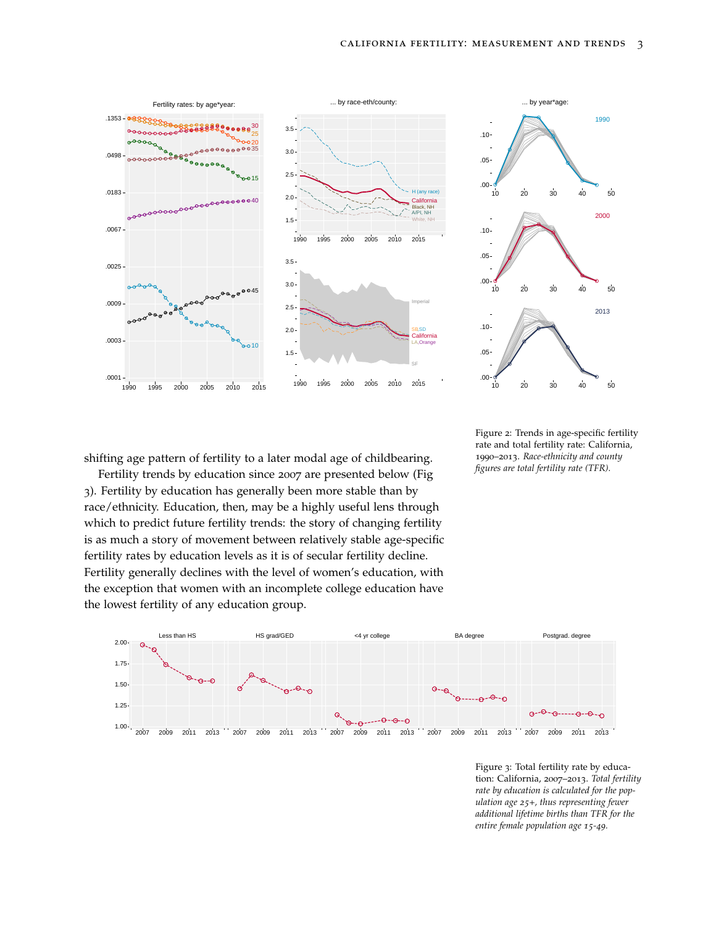



Figure 2: Trends in age-specific fertility rate and total fertility rate: California, 1990–2013. *Race-ethnicity and county figures are total fertility rate (TFR).*

shifting age pattern of fertility to a later modal age of childbearing.

Fertility trends by education since 2007 are presented below (Fig [3](#page-0-0)). Fertility by education has generally been more stable than by race/ethnicity. Education, then, may be a highly useful lens through which to predict future fertility trends: the story of changing fertility is as much a story of movement between relatively stable age-specific fertility rates by education levels as it is of secular fertility decline. Fertility generally declines with the level of women's education, with the exception that women with an incomplete college education have the lowest fertility of any education group.



Figure 3: Total fertility rate by education: California, 2007–2013. *Total fertility rate by education is calculated for the population age 25+, thus representing fewer additional lifetime births than TFR for the entire female population age 15-49.*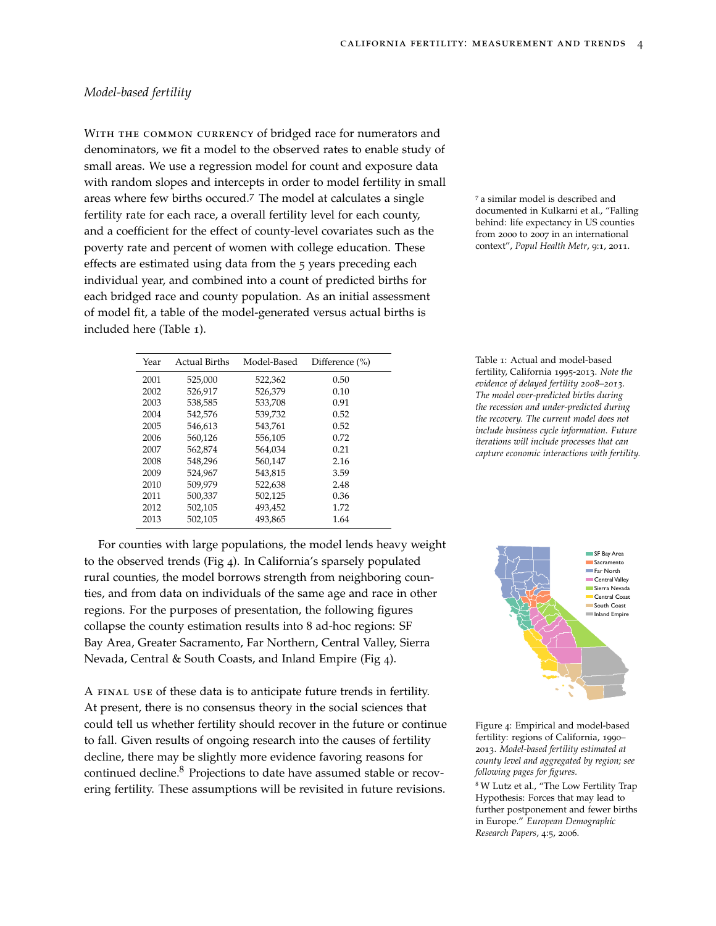## <span id="page-3-0"></span>*Model-based fertility*

WITH THE COMMON CURRENCY of bridged race for numerators and denominators, we fit a model to the observed rates to enable study of small areas. We use a regression model for count and exposure data with random slopes and intercepts in order to model fertility in small areas where few births occured.<sup>7</sup> The model at calculates a single  $\frac{7}{4}$  a similar model is described and fertility rate for each race, a overall fertility level for each county, and a coefficient for the effect of county-level covariates such as the poverty rate and percent of women with college education. These effects are estimated using data from the 5 years preceding each individual year, and combined into a count of predicted births for each bridged race and county population. As an initial assessment of model fit, a table of the model-generated versus actual births is included here (Table [1](#page-3-0)).

| Year | <b>Actual Births</b> | Model-Based | Difference $(\% )$ |
|------|----------------------|-------------|--------------------|
| 2001 | 525,000              | 522,362     | 0.50               |
| 2002 | 526,917              | 526,379     | 0.10               |
| 2003 | 538,585              | 533,708     | 0.91               |
| 2004 | 542,576              | 539.732     | 0.52               |
| 2005 | 546.613              | 543.761     | 0.52               |
| 2006 | 560.126              | 556.105     | 0.72               |
| 2007 | 562.874              | 564.034     | 0.21               |
| 2008 | 548,296              | 560,147     | 2.16               |
| 2009 | 524.967              | 543,815     | 3.59               |
| 2010 | 509,979              | 522,638     | 2.48               |
| 2011 | 500.337              | 502,125     | 0.36               |
| 2012 | 502,105              | 493,452     | 1.72               |
| 2013 | 502,105              | 493,865     | 1.64               |

For counties with large populations, the model lends heavy weight to the observed trends (Fig 4). In California's sparsely populated rural counties, the model borrows strength from neighboring counties, and from data on individuals of the same age and race in other regions. For the purposes of presentation, the following figures collapse the county estimation results into 8 ad-hoc regions: SF Bay Area, Greater Sacramento, Far Northern, Central Valley, Sierra Nevada, Central & South Coasts, and Inland Empire (Fig 4).

A final use of these data is to anticipate future trends in fertility. At present, there is no consensus theory in the social sciences that could tell us whether fertility should recover in the future or continue to fall. Given results of ongoing research into the causes of fertility decline, there may be slightly more evidence favoring reasons for continued decline.<sup>8</sup> Projections to date have assumed stable or recovering fertility. These assumptions will be revisited in future revisions.

documented in Kulkarni et al., "Falling behind: life expectancy in US counties from 2000 to 2007 in an international context", *Popul Health Metr*, 9:1, 2011.

Table 1: Actual and model-based fertility, California 1995-2013. *Note the evidence of delayed fertility 2008–2013. The model over-predicted births during the recession and under-predicted during the recovery. The current model does not include business cycle information. Future iterations will include processes that can capture economic interactions with fertility.*



Figure 4: Empirical and model-based fertility: regions of California, 1990– 2013. *Model-based fertility estimated at county level and aggregated by region; see following pages for figures.*

<sup>8</sup> W Lutz et al., "The Low Fertility Trap Hypothesis: Forces that may lead to further postponement and fewer births in Europe." *European Demographic Research Papers*, 4:5, 2006.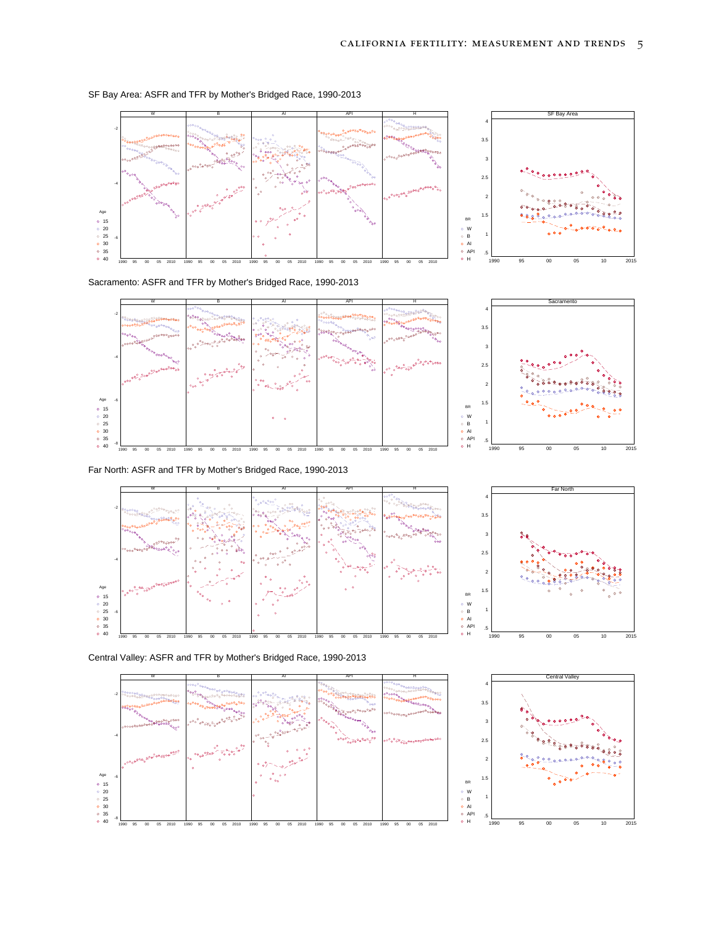